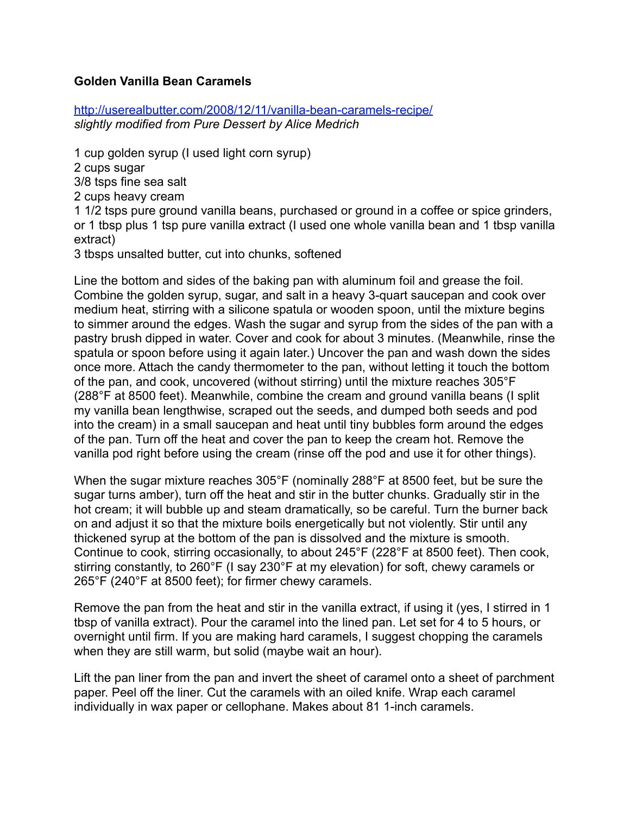## **Golden Vanilla Bean Caramels**

<http://userealbutter.com/2008/12/11/vanilla-bean-caramels-recipe/> *slightly modified from Pure Dessert by Alice Medrich*

1 cup golden syrup (I used light corn syrup)

2 cups sugar

3/8 tsps fine sea salt

2 cups heavy cream

1 1/2 tsps pure ground vanilla beans, purchased or ground in a coffee or spice grinders, or 1 tbsp plus 1 tsp pure vanilla extract (I used one whole vanilla bean and 1 tbsp vanilla extract)

3 tbsps unsalted butter, cut into chunks, softened

Line the bottom and sides of the baking pan with aluminum foil and grease the foil. Combine the golden syrup, sugar, and salt in a heavy 3-quart saucepan and cook over medium heat, stirring with a silicone spatula or wooden spoon, until the mixture begins to simmer around the edges. Wash the sugar and syrup from the sides of the pan with a pastry brush dipped in water. Cover and cook for about 3 minutes. (Meanwhile, rinse the spatula or spoon before using it again later.) Uncover the pan and wash down the sides once more. Attach the candy thermometer to the pan, without letting it touch the bottom of the pan, and cook, uncovered (without stirring) until the mixture reaches 305°F (288°F at 8500 feet). Meanwhile, combine the cream and ground vanilla beans (I split my vanilla bean lengthwise, scraped out the seeds, and dumped both seeds and pod into the cream) in a small saucepan and heat until tiny bubbles form around the edges of the pan. Turn off the heat and cover the pan to keep the cream hot. Remove the vanilla pod right before using the cream (rinse off the pod and use it for other things).

When the sugar mixture reaches 305°F (nominally 288°F at 8500 feet, but be sure the sugar turns amber), turn off the heat and stir in the butter chunks. Gradually stir in the hot cream; it will bubble up and steam dramatically, so be careful. Turn the burner back on and adjust it so that the mixture boils energetically but not violently. Stir until any thickened syrup at the bottom of the pan is dissolved and the mixture is smooth. Continue to cook, stirring occasionally, to about 245°F (228°F at 8500 feet). Then cook, stirring constantly, to 260°F (I say 230°F at my elevation) for soft, chewy caramels or 265°F (240°F at 8500 feet); for firmer chewy caramels.

Remove the pan from the heat and stir in the vanilla extract, if using it (yes, I stirred in 1 tbsp of vanilla extract). Pour the caramel into the lined pan. Let set for 4 to 5 hours, or overnight until firm. If you are making hard caramels, I suggest chopping the caramels when they are still warm, but solid (maybe wait an hour).

Lift the pan liner from the pan and invert the sheet of caramel onto a sheet of parchment paper. Peel off the liner. Cut the caramels with an oiled knife. Wrap each caramel individually in wax paper or cellophane. Makes about 81 1-inch caramels.